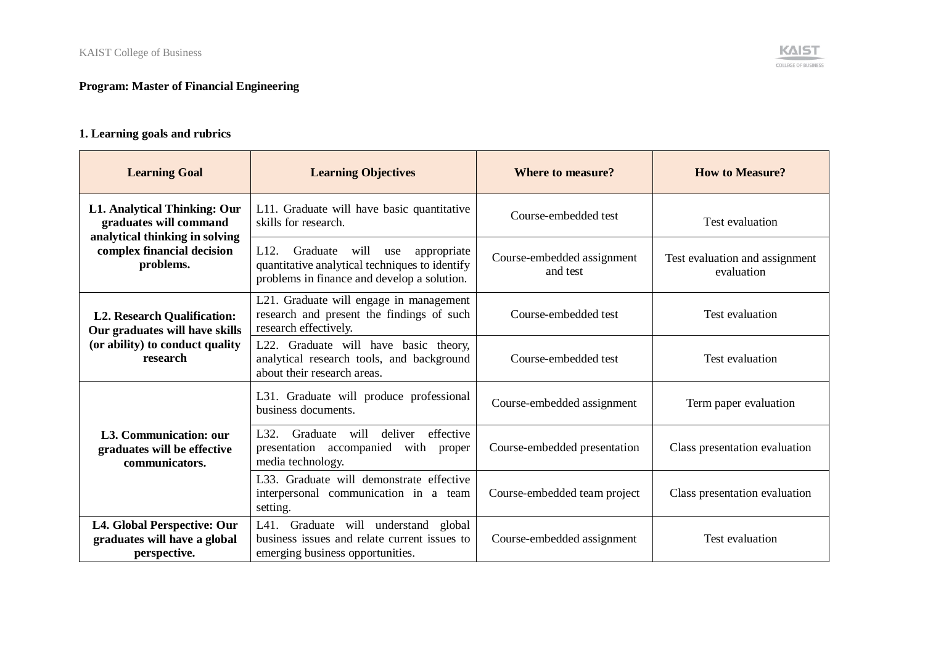## **Program: Master of Financial Engineering**

## **1. Learning goals and rubrics**

| <b>Learning Goal</b>                                                               | <b>Learning Objectives</b>                                                                                                                                   | <b>Where to measure?</b>               | <b>How to Measure?</b>                       |
|------------------------------------------------------------------------------------|--------------------------------------------------------------------------------------------------------------------------------------------------------------|----------------------------------------|----------------------------------------------|
| <b>L1. Analytical Thinking: Our</b><br>graduates will command                      | L11. Graduate will have basic quantitative<br>skills for research.                                                                                           | Course-embedded test                   | Test evaluation                              |
| analytical thinking in solving<br>complex financial decision<br>problems.          | L <sub>12</sub> .<br>will<br>Graduate<br>appropriate<br>use<br>quantitative analytical techniques to identify<br>problems in finance and develop a solution. | Course-embedded assignment<br>and test | Test evaluation and assignment<br>evaluation |
| <b>L2. Research Qualification:</b><br>Our graduates will have skills               | L21. Graduate will engage in management<br>research and present the findings of such<br>research effectively.                                                | Course-embedded test                   | Test evaluation                              |
| (or ability) to conduct quality<br>research                                        | L22. Graduate will have basic theory,<br>analytical research tools, and background<br>about their research areas.                                            | Course-embedded test                   | Test evaluation                              |
|                                                                                    | L31. Graduate will produce professional<br>business documents.                                                                                               | Course-embedded assignment             | Term paper evaluation                        |
| L3. Communication: our<br>graduates will be effective<br>communicators.            | will deliver effective<br>L32. Graduate<br>presentation accompanied with proper<br>media technology.                                                         | Course-embedded presentation           | Class presentation evaluation                |
|                                                                                    | L33. Graduate will demonstrate effective<br>interpersonal communication in a team<br>setting.                                                                | Course-embedded team project           | Class presentation evaluation                |
| <b>L4. Global Perspective: Our</b><br>graduates will have a global<br>perspective. | L41. Graduate will understand global<br>business issues and relate current issues to<br>emerging business opportunities.                                     | Course-embedded assignment             | Test evaluation                              |

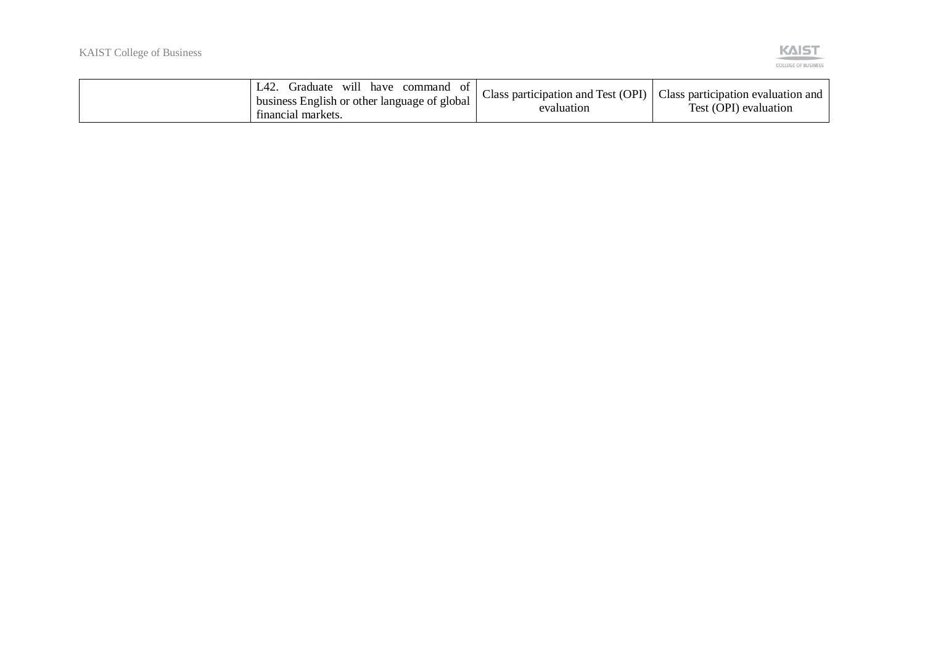

| L42.<br>Graduate<br>have<br>- W1ll<br>Οt<br>command<br>business English or other language of global $\perp$<br>tinancial markets. | Class participation and Test (OPI) $\vert$<br>evaluation | Class participation evaluation and<br>Test (OPI) evaluation |
|-----------------------------------------------------------------------------------------------------------------------------------|----------------------------------------------------------|-------------------------------------------------------------|
|-----------------------------------------------------------------------------------------------------------------------------------|----------------------------------------------------------|-------------------------------------------------------------|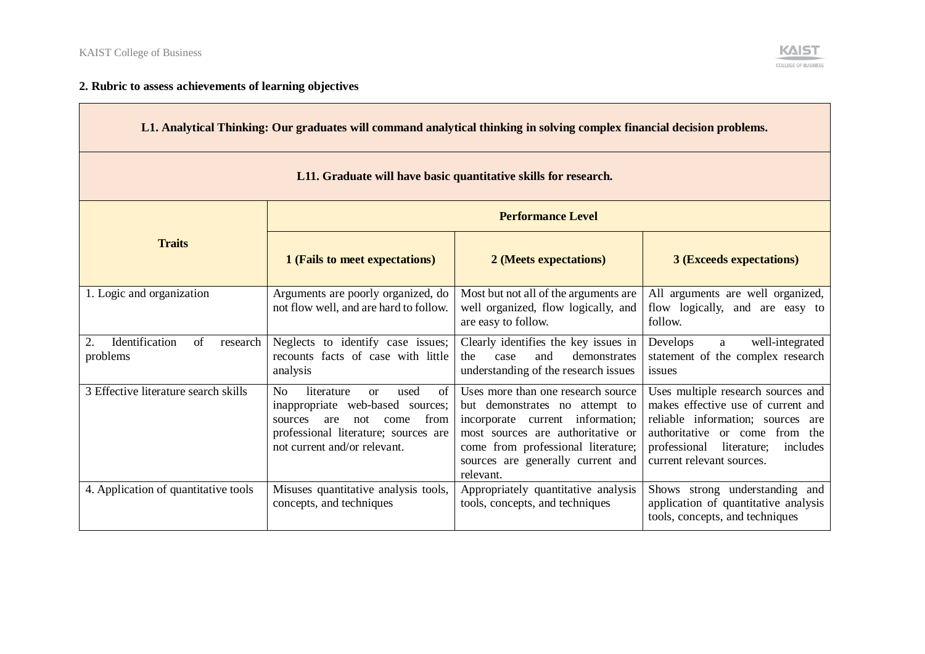

## **2. Rubric to assess achievements of learning objectives**

| L1. Analytical Thinking: Our graduates will command analytical thinking in solving complex financial decision problems. |                                                                                                                                                                                                             |                                                                                                                                                                                                                                       |                                                                                                                                                                                                                         |  |  |  |
|-------------------------------------------------------------------------------------------------------------------------|-------------------------------------------------------------------------------------------------------------------------------------------------------------------------------------------------------------|---------------------------------------------------------------------------------------------------------------------------------------------------------------------------------------------------------------------------------------|-------------------------------------------------------------------------------------------------------------------------------------------------------------------------------------------------------------------------|--|--|--|
| L11. Graduate will have basic quantitative skills for research.                                                         |                                                                                                                                                                                                             |                                                                                                                                                                                                                                       |                                                                                                                                                                                                                         |  |  |  |
|                                                                                                                         | <b>Performance Level</b>                                                                                                                                                                                    |                                                                                                                                                                                                                                       |                                                                                                                                                                                                                         |  |  |  |
| <b>Traits</b>                                                                                                           | 1 (Fails to meet expectations)                                                                                                                                                                              | 2 (Meets expectations)                                                                                                                                                                                                                | <b>3 (Exceeds expectations)</b>                                                                                                                                                                                         |  |  |  |
| 1. Logic and organization                                                                                               | Arguments are poorly organized, do<br>not flow well, and are hard to follow.                                                                                                                                | Most but not all of the arguments are<br>well organized, flow logically, and<br>are easy to follow.                                                                                                                                   | All arguments are well organized,<br>flow logically, and are easy to<br>follow.                                                                                                                                         |  |  |  |
| Identification<br>of<br>2.<br>research<br>problems                                                                      | Neglects to identify case issues;<br>recounts facts of case with little<br>analysis                                                                                                                         | Clearly identifies the key issues in<br>and<br>demonstrates<br>the<br>case<br>understanding of the research issues                                                                                                                    | Develops<br>well-integrated<br>a<br>statement of the complex research<br>issues                                                                                                                                         |  |  |  |
| 3 Effective literature search skills                                                                                    | N <sub>o</sub><br>literature<br>used<br>of<br>$\alpha$<br>inappropriate web-based sources;<br>not<br>from<br>are<br>come<br>sources<br>professional literature; sources are<br>not current and/or relevant. | Uses more than one research source<br>but demonstrates no attempt to<br>incorporate current information;<br>most sources are authoritative or<br>come from professional literature;<br>sources are generally current and<br>relevant. | Uses multiple research sources and<br>makes effective use of current and<br>reliable information; sources are<br>authoritative or come from the<br>professional<br>literature;<br>includes<br>current relevant sources. |  |  |  |
| 4. Application of quantitative tools                                                                                    | Misuses quantitative analysis tools,<br>concepts, and techniques                                                                                                                                            | Appropriately quantitative analysis<br>tools, concepts, and techniques                                                                                                                                                                | Shows strong understanding and<br>application of quantitative analysis<br>tools, concepts, and techniques                                                                                                               |  |  |  |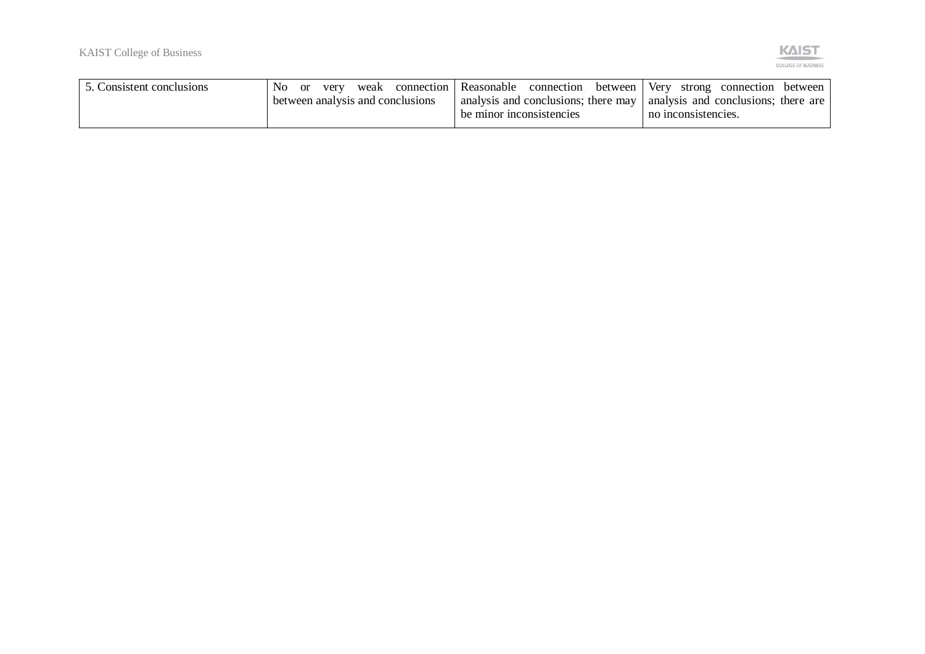

| 5. Consistent conclusions | No. | 0r | very | weak | connection 1                     | Reasonable                                                                                              | connection between | Very |                     | strong connection between |  |
|---------------------------|-----|----|------|------|----------------------------------|---------------------------------------------------------------------------------------------------------|--------------------|------|---------------------|---------------------------|--|
|                           |     |    |      |      | between analysis and conclusions | analysis and conclusions; there may   analysis and conclusions; there are  <br>be minor inconsistencies |                    |      | no inconsistencies. |                           |  |
|                           |     |    |      |      |                                  |                                                                                                         |                    |      |                     |                           |  |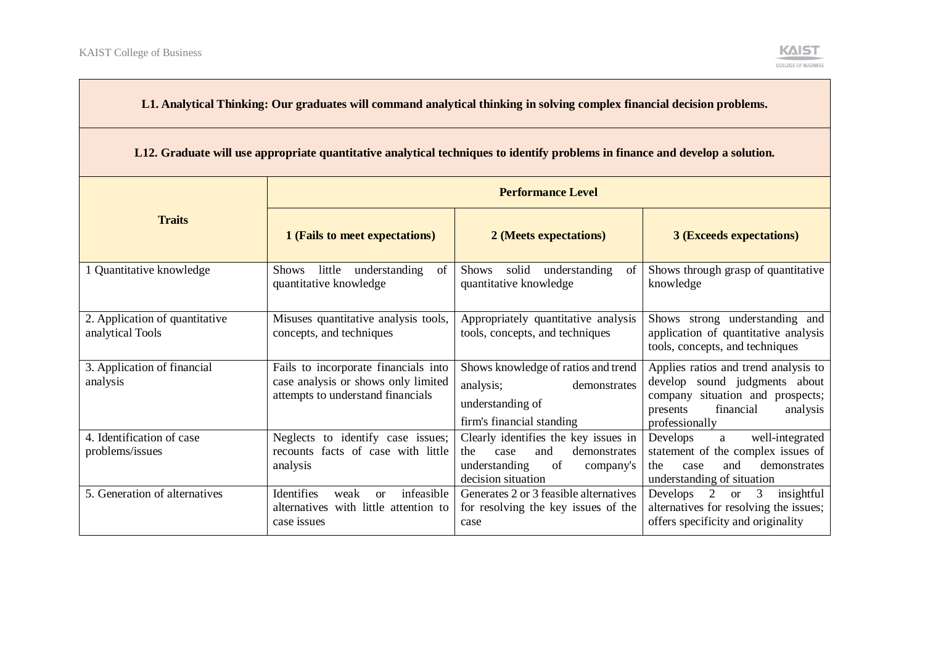

| L1. Analytical Thinking: Our graduates will command analytical thinking in solving complex financial decision problems.       |                                                                                                                  |                                                                                                                                      |                                                                                                                                                                  |  |  |
|-------------------------------------------------------------------------------------------------------------------------------|------------------------------------------------------------------------------------------------------------------|--------------------------------------------------------------------------------------------------------------------------------------|------------------------------------------------------------------------------------------------------------------------------------------------------------------|--|--|
| L12. Graduate will use appropriate quantitative analytical techniques to identify problems in finance and develop a solution. |                                                                                                                  |                                                                                                                                      |                                                                                                                                                                  |  |  |
|                                                                                                                               | <b>Performance Level</b>                                                                                         |                                                                                                                                      |                                                                                                                                                                  |  |  |
| <b>Traits</b>                                                                                                                 | 1 (Fails to meet expectations)                                                                                   | 2 (Meets expectations)                                                                                                               | <b>3 (Exceeds expectations)</b>                                                                                                                                  |  |  |
| 1 Quantitative knowledge                                                                                                      | little understanding<br>Shows<br>of<br>quantitative knowledge                                                    | Shows solid understanding<br>of<br>quantitative knowledge                                                                            | Shows through grasp of quantitative<br>knowledge                                                                                                                 |  |  |
| 2. Application of quantitative<br>analytical Tools                                                                            | Misuses quantitative analysis tools,<br>concepts, and techniques                                                 | Appropriately quantitative analysis<br>tools, concepts, and techniques                                                               | Shows strong understanding and<br>application of quantitative analysis<br>tools, concepts, and techniques                                                        |  |  |
| 3. Application of financial<br>analysis                                                                                       | Fails to incorporate financials into<br>case analysis or shows only limited<br>attempts to understand financials | Shows knowledge of ratios and trend<br>analysis;<br>demonstrates<br>understanding of<br>firm's financial standing                    | Applies ratios and trend analysis to<br>develop sound judgments about<br>company situation and prospects;<br>financial<br>presents<br>analysis<br>professionally |  |  |
| 4. Identification of case<br>problems/issues                                                                                  | Neglects to identify case issues;<br>recounts facts of case with little<br>analysis                              | Clearly identifies the key issues in<br>and<br>the<br>case<br>demonstrates<br>understanding<br>of<br>company's<br>decision situation | Develops<br>well-integrated<br>a<br>statement of the complex issues of<br>and<br>demonstrates<br>the<br>case<br>understanding of situation                       |  |  |
| 5. Generation of alternatives                                                                                                 | infeasible<br>Identifies<br>weak<br>$\alpha$<br>alternatives with little attention to<br>case issues             | Generates 2 or 3 feasible alternatives<br>for resolving the key issues of the<br>case                                                | Develops 2 or 3<br>insightful<br>alternatives for resolving the issues;<br>offers specificity and originality                                                    |  |  |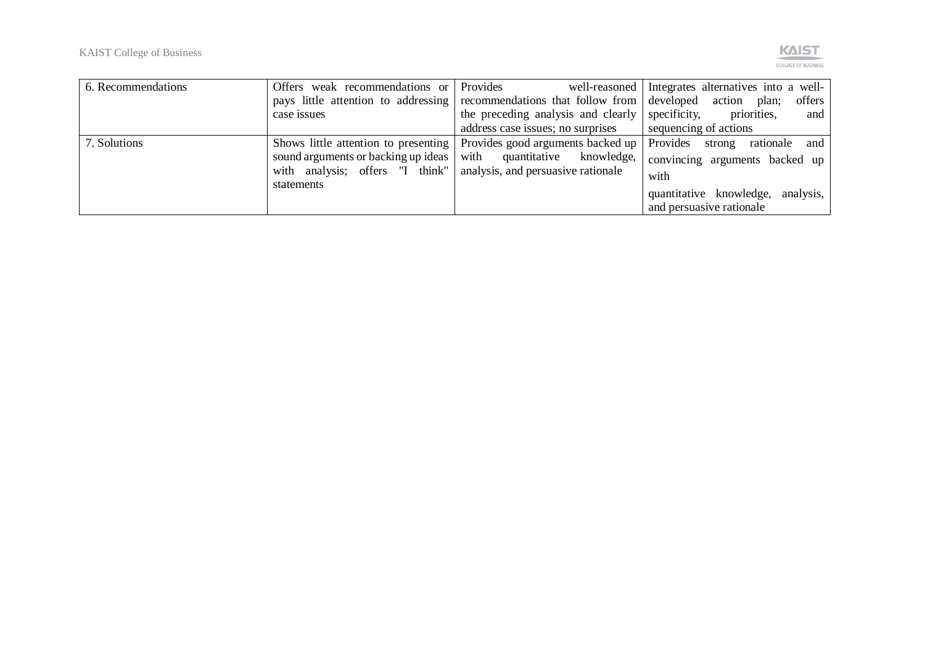

| 6. Recommendations | Offers weak recommendations or Provides                              |                                                                          | well-reasoned Integrates alternatives into a well- |
|--------------------|----------------------------------------------------------------------|--------------------------------------------------------------------------|----------------------------------------------------|
|                    |                                                                      | pays little attention to addressing recommendations that follow from     | developed action plan; offers                      |
|                    | case issues                                                          | the preceding analysis and clearly                                       | specificity,<br>priorities,<br>and                 |
|                    |                                                                      | address case issues; no surprises                                        | sequencing of actions                              |
| 7. Solutions       |                                                                      | Shows little attention to presenting   Provides good arguments backed up | Provides strong rationale and                      |
|                    |                                                                      | sound arguments or backing up ideas   with quantitative knowledge,       | convincing arguments backed up                     |
|                    | with analysis; offers "I think"   analysis, and persuasive rationale |                                                                          | with                                               |
|                    | statements                                                           |                                                                          | quantitative knowledge,<br>analysis,               |
|                    |                                                                      |                                                                          | and persuasive rationale                           |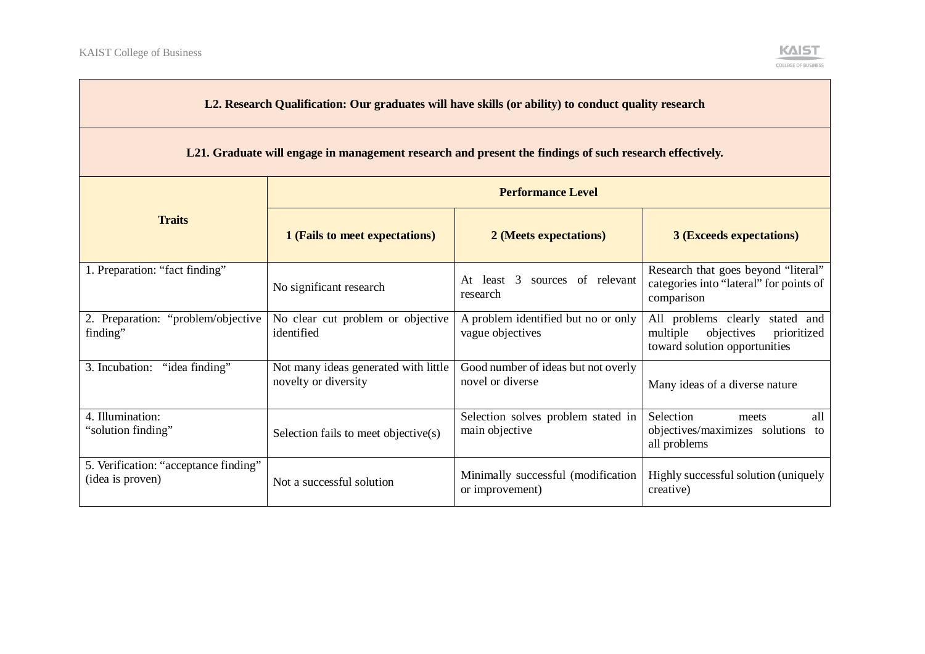

| L2. Research Qualification: Our graduates will have skills (or ability) to conduct quality research     |                                                              |                                                         |                                                                                                              |  |  |  |
|---------------------------------------------------------------------------------------------------------|--------------------------------------------------------------|---------------------------------------------------------|--------------------------------------------------------------------------------------------------------------|--|--|--|
| L21. Graduate will engage in management research and present the findings of such research effectively. |                                                              |                                                         |                                                                                                              |  |  |  |
|                                                                                                         | <b>Performance Level</b>                                     |                                                         |                                                                                                              |  |  |  |
| <b>Traits</b>                                                                                           | 1 (Fails to meet expectations)                               | 2 (Meets expectations)                                  | <b>3 (Exceeds expectations)</b>                                                                              |  |  |  |
| 1. Preparation: "fact finding"                                                                          | No significant research                                      | sources of relevant<br>At least 3<br>research           | Research that goes beyond "literal"<br>categories into "lateral" for points of<br>comparison                 |  |  |  |
| 2. Preparation: "problem/objective<br>finding"                                                          | No clear cut problem or objective<br>identified              | A problem identified but no or only<br>vague objectives | All problems clearly<br>stated and<br>multiple<br>objectives<br>prioritized<br>toward solution opportunities |  |  |  |
| 3. Incubation: "idea finding"                                                                           | Not many ideas generated with little<br>novelty or diversity | Good number of ideas but not overly<br>novel or diverse | Many ideas of a diverse nature                                                                               |  |  |  |
| 4. Illumination:<br>"solution finding"                                                                  | Selection fails to meet objective(s)                         | Selection solves problem stated in<br>main objective    | Selection<br>all<br>meets<br>objectives/maximizes solutions to<br>all problems                               |  |  |  |
| 5. Verification: "acceptance finding"<br>(idea is proven)                                               | Not a successful solution                                    | Minimally successful (modification<br>or improvement)   | Highly successful solution (uniquely<br>creative)                                                            |  |  |  |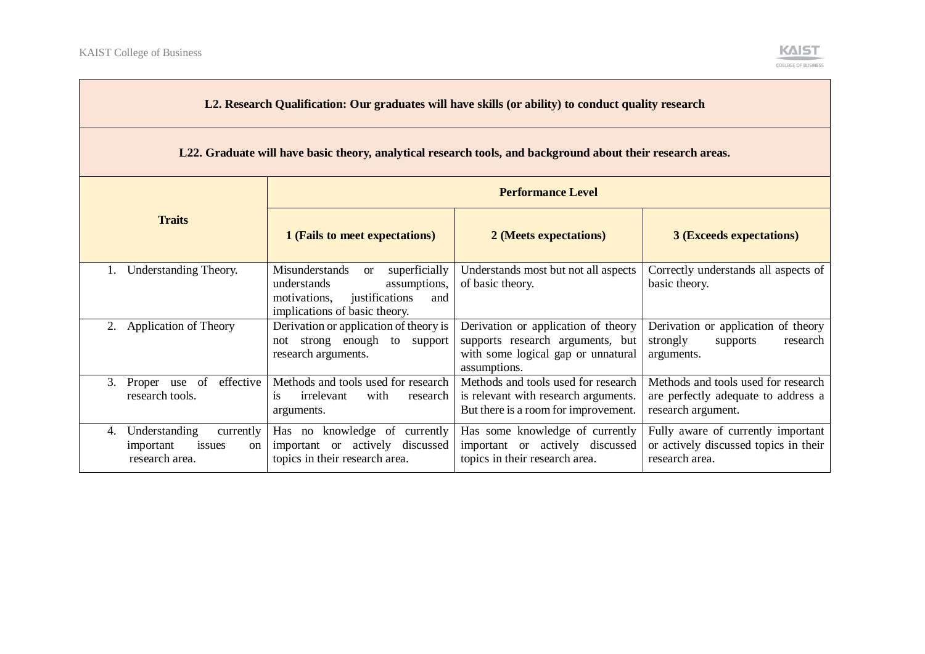

| L2. Research Qualification: Our graduates will have skills (or ability) to conduct quality research         |                                                                                                                                                           |                                                                                                                               |                                                                                                  |  |  |
|-------------------------------------------------------------------------------------------------------------|-----------------------------------------------------------------------------------------------------------------------------------------------------------|-------------------------------------------------------------------------------------------------------------------------------|--------------------------------------------------------------------------------------------------|--|--|
| L22. Graduate will have basic theory, analytical research tools, and background about their research areas. |                                                                                                                                                           |                                                                                                                               |                                                                                                  |  |  |
|                                                                                                             | <b>Performance Level</b>                                                                                                                                  |                                                                                                                               |                                                                                                  |  |  |
| <b>Traits</b>                                                                                               | 1 (Fails to meet expectations)                                                                                                                            | 2 (Meets expectations)                                                                                                        | <b>3 (Exceeds expectations)</b>                                                                  |  |  |
| Understanding Theory.                                                                                       | Misunderstands<br>superficially<br><sub>or</sub><br>understands<br>assumptions,<br>justifications<br>motivations,<br>and<br>implications of basic theory. | Understands most but not all aspects<br>of basic theory.                                                                      | Correctly understands all aspects of<br>basic theory.                                            |  |  |
| 2. Application of Theory                                                                                    | Derivation or application of theory is<br>not strong enough to support<br>research arguments.                                                             | Derivation or application of theory<br>supports research arguments, but<br>with some logical gap or unnatural<br>assumptions. | Derivation or application of theory<br>strongly<br>supports<br>research<br>arguments.            |  |  |
| effective<br>3. Proper use of<br>research tools.                                                            | Methods and tools used for research<br>irrelevant<br>with<br>is<br>research<br>arguments.                                                                 | Methods and tools used for research<br>is relevant with research arguments.<br>But there is a room for improvement.           | Methods and tools used for research<br>are perfectly adequate to address a<br>research argument. |  |  |
| Understanding<br>currently<br>4.<br>important<br>issues<br>on<br>research area.                             | Has no knowledge of currently<br>important or actively discussed<br>topics in their research area.                                                        | Has some knowledge of currently<br>important or actively discussed<br>topics in their research area.                          | Fully aware of currently important<br>or actively discussed topics in their<br>research area.    |  |  |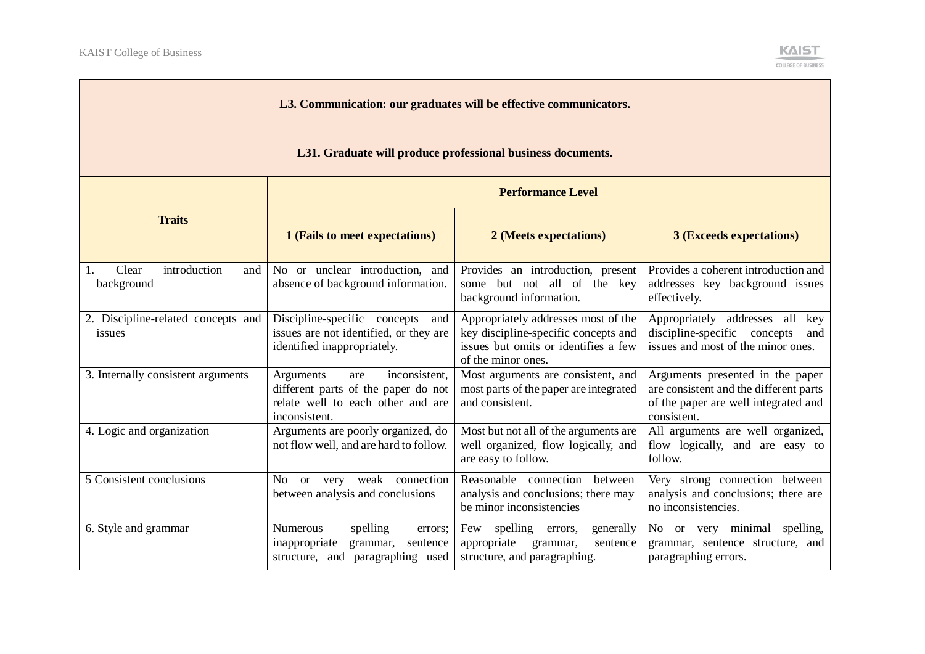

| L3. Communication: our graduates will be effective communicators. |                                                                                                                                |                                                                                                                                           |                                                                                                                                   |  |  |
|-------------------------------------------------------------------|--------------------------------------------------------------------------------------------------------------------------------|-------------------------------------------------------------------------------------------------------------------------------------------|-----------------------------------------------------------------------------------------------------------------------------------|--|--|
| L31. Graduate will produce professional business documents.       |                                                                                                                                |                                                                                                                                           |                                                                                                                                   |  |  |
|                                                                   | <b>Performance Level</b>                                                                                                       |                                                                                                                                           |                                                                                                                                   |  |  |
| <b>Traits</b>                                                     | 1 (Fails to meet expectations)                                                                                                 | 2 (Meets expectations)                                                                                                                    | <b>3 (Exceeds expectations)</b>                                                                                                   |  |  |
| Clear<br>introduction<br>1.<br>and<br>background                  | No or unclear introduction, and<br>absence of background information.                                                          | Provides an introduction, present<br>some but not all of the key<br>background information.                                               | Provides a coherent introduction and<br>addresses key background issues<br>effectively.                                           |  |  |
| 2. Discipline-related concepts and<br>issues                      | Discipline-specific concepts<br>and<br>issues are not identified, or they are<br>identified inappropriately.                   | Appropriately addresses most of the<br>key discipline-specific concepts and<br>issues but omits or identifies a few<br>of the minor ones. | Appropriately addresses all key<br>discipline-specific concepts<br>and<br>issues and most of the minor ones.                      |  |  |
| 3. Internally consistent arguments                                | inconsistent,<br>Arguments<br>are<br>different parts of the paper do not<br>relate well to each other and are<br>inconsistent. | Most arguments are consistent, and<br>most parts of the paper are integrated<br>and consistent.                                           | Arguments presented in the paper<br>are consistent and the different parts<br>of the paper are well integrated and<br>consistent. |  |  |
| 4. Logic and organization                                         | Arguments are poorly organized, do<br>not flow well, and are hard to follow.                                                   | Most but not all of the arguments are<br>well organized, flow logically, and<br>are easy to follow.                                       | All arguments are well organized,<br>flow logically, and are easy to<br>follow.                                                   |  |  |
| 5 Consistent conclusions                                          | or very weak connection<br>No.<br>between analysis and conclusions                                                             | Reasonable connection between<br>analysis and conclusions; there may<br>be minor inconsistencies                                          | Very strong connection between<br>analysis and conclusions; there are<br>no inconsistencies.                                      |  |  |
| 6. Style and grammar                                              | spelling<br><b>Numerous</b><br>errors;<br>inappropriate<br>grammar,<br>sentence<br>structure, and paragraphing used            | Few spelling errors,<br>generally<br>appropriate<br>grammar,<br>sentence<br>structure, and paragraphing.                                  | No or very minimal spelling,<br>grammar, sentence structure, and<br>paragraphing errors.                                          |  |  |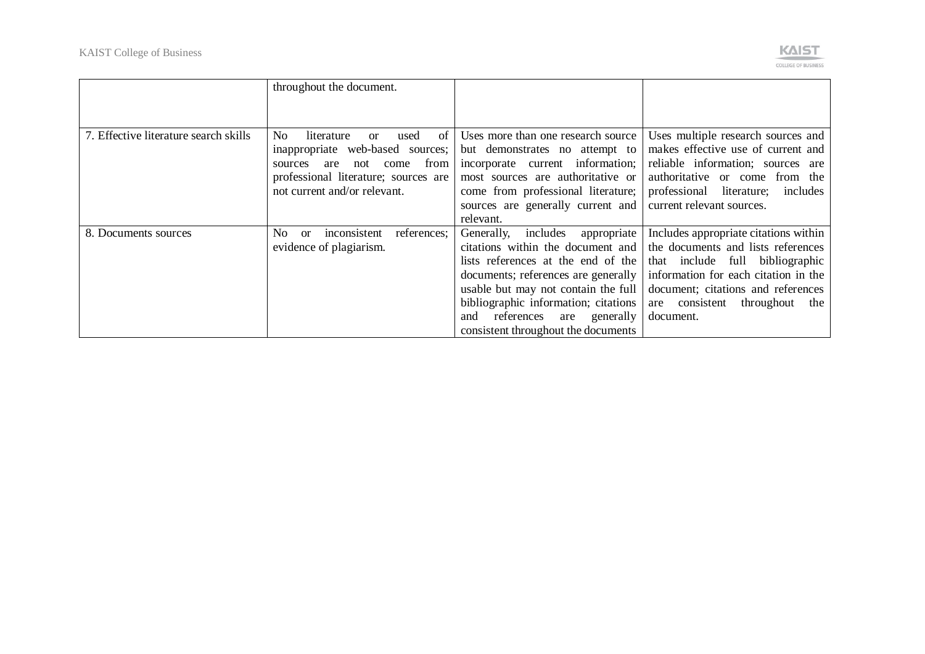

|                                       | throughout the document.                                                                                                                                                                         |                                                                                                                                                                                                                                                                                                                        |                                                                                                                                                                                                                                                  |
|---------------------------------------|--------------------------------------------------------------------------------------------------------------------------------------------------------------------------------------------------|------------------------------------------------------------------------------------------------------------------------------------------------------------------------------------------------------------------------------------------------------------------------------------------------------------------------|--------------------------------------------------------------------------------------------------------------------------------------------------------------------------------------------------------------------------------------------------|
| 7. Effective literature search skills | No.<br>of<br>literature<br>used<br>$\alpha$<br>inappropriate web-based sources;<br>from<br>come<br>sources<br>are<br>not<br>professional literature; sources are<br>not current and/or relevant. | Uses more than one research source<br>but demonstrates no attempt to<br>incorporate current information;<br>most sources are authoritative or<br>come from professional literature;<br>sources are generally current and<br>relevant.                                                                                  | Uses multiple research sources and<br>makes effective use of current and<br>reliable information; sources are<br>authoritative or come from the<br>professional literature;<br>includes<br>current relevant sources.                             |
| 8. Documents sources                  | No.<br>references;<br>inconsistent<br><sub>or</sub><br>evidence of plagiarism.                                                                                                                   | appropriate<br>Generally,<br>includes<br>citations within the document and<br>lists references at the end of the<br>documents; references are generally<br>usable but may not contain the full<br>bibliographic information; citations<br>references<br>generally<br>are<br>and<br>consistent throughout the documents | Includes appropriate citations within<br>the documents and lists references<br>that include full bibliographic<br>information for each citation in the<br>document; citations and references<br>are consistent<br>throughout<br>the<br>document. |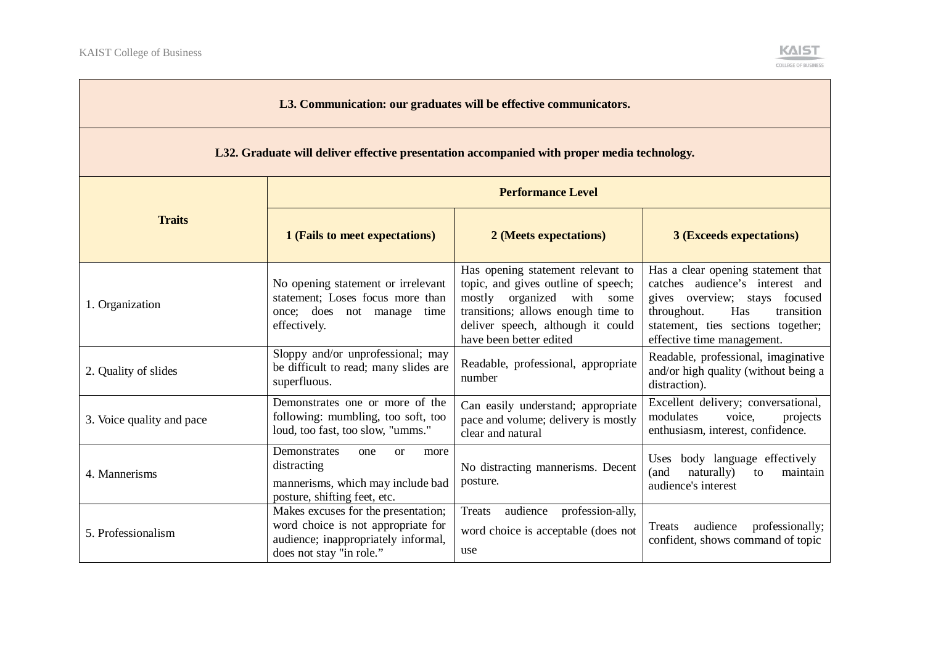

| L3. Communication: our graduates will be effective communicators.                           |                                                                                                                                              |                                                                                                                                                                                                              |                                                                                                                                                                                                                |  |  |
|---------------------------------------------------------------------------------------------|----------------------------------------------------------------------------------------------------------------------------------------------|--------------------------------------------------------------------------------------------------------------------------------------------------------------------------------------------------------------|----------------------------------------------------------------------------------------------------------------------------------------------------------------------------------------------------------------|--|--|
| L32. Graduate will deliver effective presentation accompanied with proper media technology. |                                                                                                                                              |                                                                                                                                                                                                              |                                                                                                                                                                                                                |  |  |
|                                                                                             | <b>Performance Level</b>                                                                                                                     |                                                                                                                                                                                                              |                                                                                                                                                                                                                |  |  |
| <b>Traits</b>                                                                               | 1 (Fails to meet expectations)                                                                                                               | 2 (Meets expectations)                                                                                                                                                                                       | <b>3 (Exceeds expectations)</b>                                                                                                                                                                                |  |  |
| 1. Organization                                                                             | No opening statement or irrelevant<br>statement; Loses focus more than<br>once; does not manage<br>time<br>effectively.                      | Has opening statement relevant to<br>topic, and gives outline of speech;<br>mostly organized with some<br>transitions; allows enough time to<br>deliver speech, although it could<br>have been better edited | Has a clear opening statement that<br>catches audience's interest and<br>gives overview; stays focused<br>Has<br>throughout.<br>transition<br>statement, ties sections together;<br>effective time management. |  |  |
| 2. Quality of slides                                                                        | Sloppy and/or unprofessional; may<br>be difficult to read; many slides are<br>superfluous.                                                   | Readable, professional, appropriate<br>number                                                                                                                                                                | Readable, professional, imaginative<br>and/or high quality (without being a<br>distraction).                                                                                                                   |  |  |
| 3. Voice quality and pace                                                                   | Demonstrates one or more of the<br>following: mumbling, too soft, too<br>loud, too fast, too slow, "umms."                                   | Can easily understand; appropriate<br>pace and volume; delivery is mostly<br>clear and natural                                                                                                               | Excellent delivery; conversational,<br>modulates<br>voice.<br>projects<br>enthusiasm, interest, confidence.                                                                                                    |  |  |
| 4. Mannerisms                                                                               | Demonstrates<br>one<br>or<br>more<br>distracting<br>mannerisms, which may include bad<br>posture, shifting feet, etc.                        | No distracting mannerisms. Decent<br>posture.                                                                                                                                                                | Uses body language effectively<br>(and<br>naturally)<br>maintain<br>to<br>audience's interest                                                                                                                  |  |  |
| 5. Professionalism                                                                          | Makes excuses for the presentation;<br>word choice is not appropriate for<br>audience; inappropriately informal,<br>does not stay "in role." | audience<br>profession-ally,<br>Treats<br>word choice is acceptable (does not<br>use                                                                                                                         | Treats<br>audience<br>professionally;<br>confident, shows command of topic                                                                                                                                     |  |  |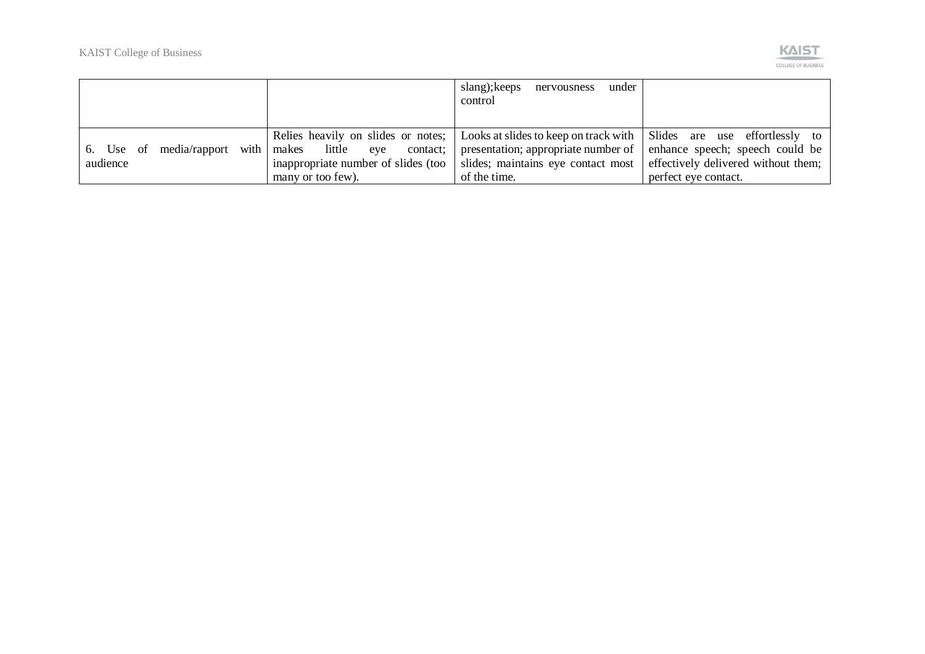

|                                    |                                     | under<br>slang); keeps<br>nervousness<br>control                                                        |                                     |
|------------------------------------|-------------------------------------|---------------------------------------------------------------------------------------------------------|-------------------------------------|
|                                    |                                     | Relies heavily on slides or notes; Looks at slides to keep on track with Slides are use effortlessly to |                                     |
| 6. Use of media/rapport with makes | little<br>eye<br>contact;           | presentation; appropriate number of                                                                     | enhance speech; speech could be     |
| audience                           | inappropriate number of slides (too | slides; maintains eye contact most                                                                      | effectively delivered without them; |
|                                    | many or too few).                   | of the time.                                                                                            | perfect eye contact.                |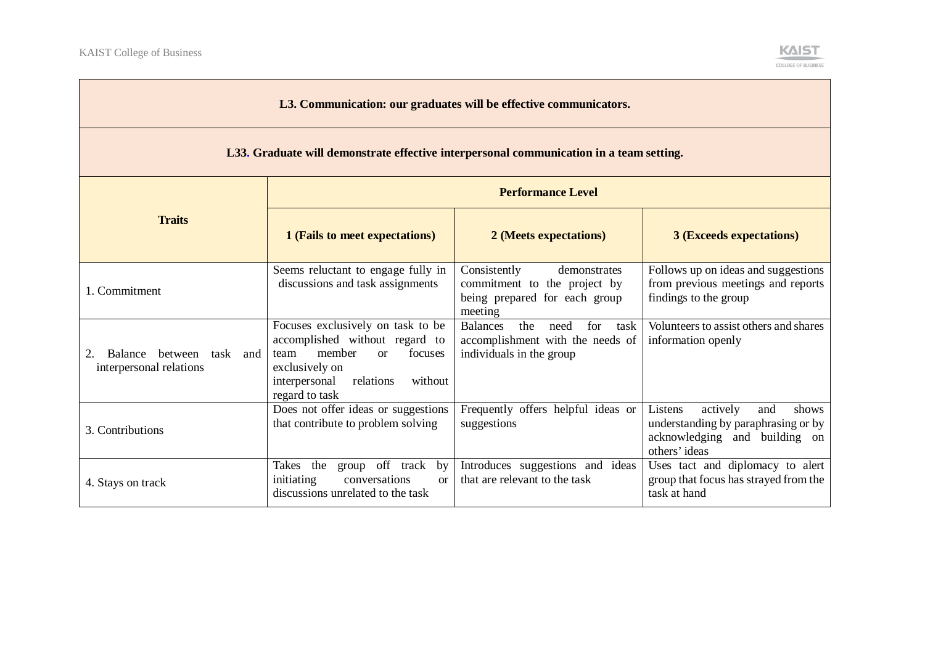

| L3. Communication: our graduates will be effective communicators.                       |                                                                                                                                                                                           |                                                                                                               |                                                                                                                              |  |  |  |
|-----------------------------------------------------------------------------------------|-------------------------------------------------------------------------------------------------------------------------------------------------------------------------------------------|---------------------------------------------------------------------------------------------------------------|------------------------------------------------------------------------------------------------------------------------------|--|--|--|
| L33. Graduate will demonstrate effective interpersonal communication in a team setting. |                                                                                                                                                                                           |                                                                                                               |                                                                                                                              |  |  |  |
| <b>Traits</b>                                                                           | <b>Performance Level</b>                                                                                                                                                                  |                                                                                                               |                                                                                                                              |  |  |  |
|                                                                                         | 1 (Fails to meet expectations)                                                                                                                                                            | 2 (Meets expectations)                                                                                        | <b>3 (Exceeds expectations)</b>                                                                                              |  |  |  |
| 1. Commitment                                                                           | Seems reluctant to engage fully in<br>discussions and task assignments                                                                                                                    | Consistently<br>demonstrates<br>commitment to the project by<br>being prepared for each group<br>meeting      | Follows up on ideas and suggestions<br>from previous meetings and reports<br>findings to the group                           |  |  |  |
| Balance between task and<br>2.<br>interpersonal relations                               | Focuses exclusively on task to be<br>accomplished without regard to<br>member<br>focuses<br>team<br>$\alpha$<br>exclusively on<br>interpersonal<br>relations<br>without<br>regard to task | <b>Balances</b><br>the<br>for<br>task<br>need<br>accomplishment with the needs of<br>individuals in the group | Volunteers to assist others and shares<br>information openly                                                                 |  |  |  |
| 3. Contributions                                                                        | Does not offer ideas or suggestions<br>that contribute to problem solving                                                                                                                 | Frequently offers helpful ideas or<br>suggestions                                                             | Listens<br>actively<br>and<br>shows<br>understanding by paraphrasing or by<br>acknowledging and building on<br>others' ideas |  |  |  |
| 4. Stays on track                                                                       | group off track<br>Takes the<br>by<br>conversations<br>initiating<br>$\alpha$<br>discussions unrelated to the task                                                                        | Introduces suggestions and ideas<br>that are relevant to the task                                             | Uses tact and diplomacy to alert<br>group that focus has strayed from the<br>task at hand                                    |  |  |  |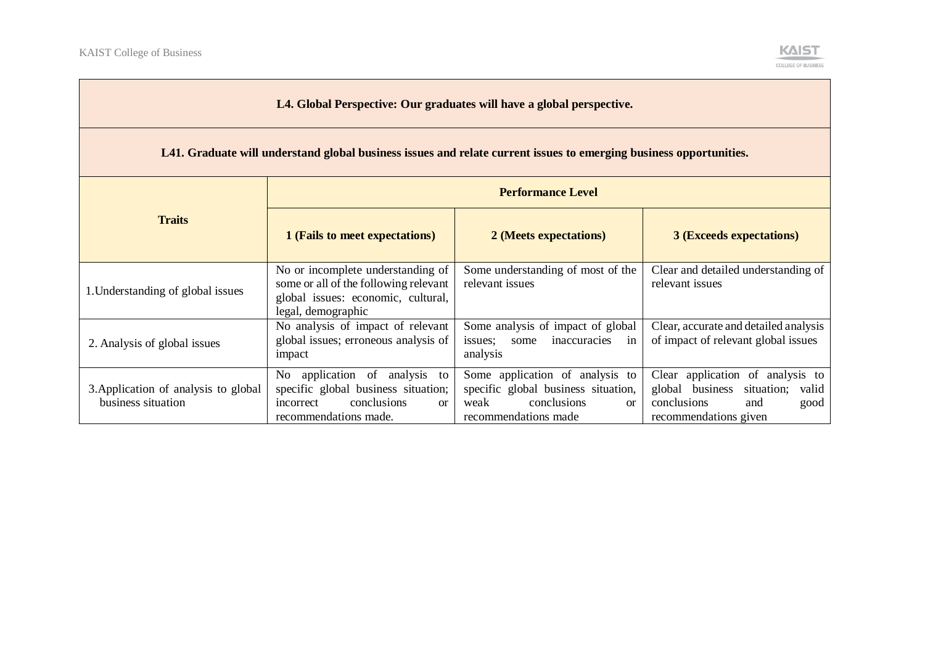and the control of the control of the control of the control of the control of the control of the control of the control of the control of the control of the control of the control of the control of the control of the cont



| L4. Global Perspective: Our graduates will have a global perspective.                                              |                                                                                                                                            |                                                                                                                                   |                                                                                                                                |  |  |  |
|--------------------------------------------------------------------------------------------------------------------|--------------------------------------------------------------------------------------------------------------------------------------------|-----------------------------------------------------------------------------------------------------------------------------------|--------------------------------------------------------------------------------------------------------------------------------|--|--|--|
| L41. Graduate will understand global business issues and relate current issues to emerging business opportunities. |                                                                                                                                            |                                                                                                                                   |                                                                                                                                |  |  |  |
| <b>Traits</b>                                                                                                      | <b>Performance Level</b>                                                                                                                   |                                                                                                                                   |                                                                                                                                |  |  |  |
|                                                                                                                    | 1 (Fails to meet expectations)                                                                                                             | 2 (Meets expectations)                                                                                                            | <b>3 (Exceeds expectations)</b>                                                                                                |  |  |  |
| 1. Understanding of global issues                                                                                  | No or incomplete understanding of<br>some or all of the following relevant<br>global issues: economic, cultural,<br>legal, demographic     | Some understanding of most of the<br>relevant issues                                                                              | Clear and detailed understanding of<br>relevant issues                                                                         |  |  |  |
| 2. Analysis of global issues                                                                                       | No analysis of impact of relevant<br>global issues; erroneous analysis of<br>impact                                                        | Some analysis of impact of global<br>inaccuracies in<br>issues;<br>some<br>analysis                                               | Clear, accurate and detailed analysis<br>of impact of relevant global issues                                                   |  |  |  |
| 3. Application of analysis to global<br>business situation                                                         | No application of analysis to<br>specific global business situation;<br>conclusions<br>incorrect<br><sub>or</sub><br>recommendations made. | Some application of analysis to<br>specific global business situation,<br>conclusions<br>weak<br>$\alpha$<br>recommendations made | Clear application of analysis to<br>global business situation;<br>valid<br>conclusions<br>and<br>good<br>recommendations given |  |  |  |